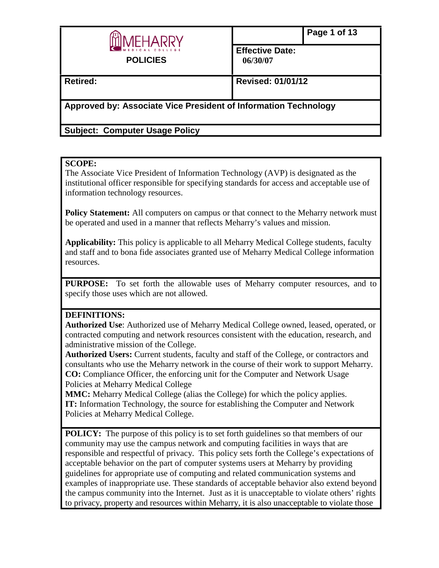

**Effective Date: 06/30/07**

**Retired: Revised: 01/01/12**

**Approved by: Associate Vice President of Information Technology**

**Subject: Computer Usage Policy** 

# **SCOPE:**

The Associate Vice President of Information Technology (AVP) is designated as the institutional officer responsible for specifying standards for access and acceptable use of information technology resources.

Policy Statement: All computers on campus or that connect to the Meharry network must be operated and used in a manner that reflects Meharry's values and mission.

**Applicability:** This policy is applicable to all Meharry Medical College students, faculty and staff and to bona fide associates granted use of Meharry Medical College information resources.

**PURPOSE:** To set forth the allowable uses of Meharry computer resources, and to specify those uses which are not allowed.

# **DEFINITIONS:**

**Authorized Use**: Authorized use of Meharry Medical College owned, leased, operated, or contracted computing and network resources consistent with the education, research, and administrative mission of the College.

**Authorized Users:** Current students, faculty and staff of the College, or contractors and consultants who use the Meharry network in the course of their work to support Meharry. **CO:** Compliance Officer, the enforcing unit for the Computer and Network Usage Policies at Meharry Medical College

**MMC:** Meharry Medical College (alias the College) for which the policy applies. **IT:** Information Technology, the source for establishing the Computer and Network Policies at Meharry Medical College.

**POLICY:** The purpose of this policy is to set forth guidelines so that members of our community may use the campus network and computing facilities in ways that are responsible and respectful of privacy. This policy sets forth the College's expectations of acceptable behavior on the part of computer systems users at Meharry by providing guidelines for appropriate use of computing and related communication systems and examples of inappropriate use. These standards of acceptable behavior also extend beyond the campus community into the Internet. Just as it is unacceptable to violate others' rights to privacy, property and resources within Meharry, it is also unacceptable to violate those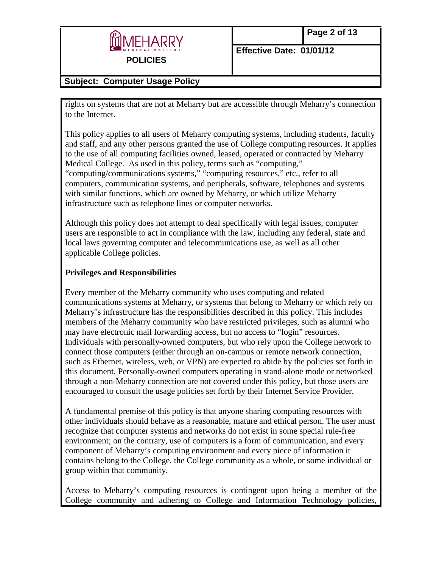

# **Subject: Computer Usage Policy**

rights on systems that are not at Meharry but are accessible through Meharry's connection to the Internet.

This policy applies to all users of Meharry computing systems, including students, faculty and staff, and any other persons granted the use of College computing resources. It applies to the use of all computing facilities owned, leased, operated or contracted by Meharry Medical College. As used in this policy, terms such as "computing," "computing/communications systems," "computing resources," etc., refer to all computers, communication systems, and peripherals, software, telephones and systems with similar functions, which are owned by Meharry, or which utilize Meharry infrastructure such as telephone lines or computer networks.

Although this policy does not attempt to deal specifically with legal issues, computer users are responsible to act in compliance with the law, including any federal, state and local laws governing computer and telecommunications use, as well as all other applicable College policies.

### **Privileges and Responsibilities**

Every member of the Meharry community who uses computing and related communications systems at Meharry, or systems that belong to Meharry or which rely on Meharry's infrastructure has the responsibilities described in this policy. This includes members of the Meharry community who have restricted privileges, such as alumni who may have electronic mail forwarding access, but no access to "login" resources. Individuals with personally-owned computers, but who rely upon the College network to connect those computers (either through an on-campus or remote network connection, such as Ethernet, wireless, web, or VPN) are expected to abide by the policies set forth in this document. Personally-owned computers operating in stand-alone mode or networked through a non-Meharry connection are not covered under this policy, but those users are encouraged to consult the usage policies set forth by their Internet Service Provider.

A fundamental premise of this policy is that anyone sharing computing resources with other individuals should behave as a reasonable, mature and ethical person. The user must recognize that computer systems and networks do not exist in some special rule-free environment; on the contrary, use of computers is a form of communication, and every component of Meharry's computing environment and every piece of information it contains belong to the College, the College community as a whole, or some individual or group within that community.

Access to Meharry's computing resources is contingent upon being a member of the College community and adhering to College and Information Technology policies,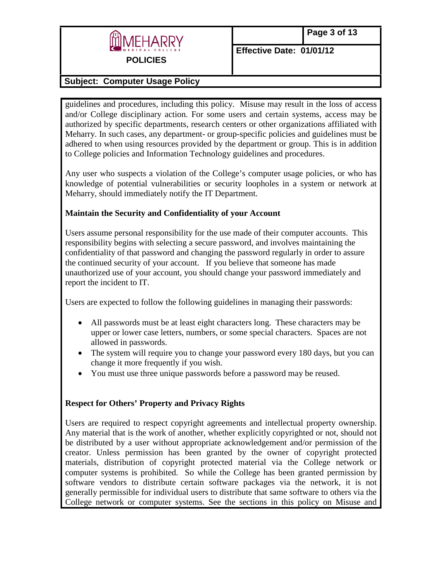

## **Subject: Computer Usage Policy**

guidelines and procedures, including this policy. Misuse may result in the loss of access and/or College disciplinary action. For some users and certain systems, access may be authorized by specific departments, research centers or other organizations affiliated with Meharry. In such cases, any department- or group-specific policies and guidelines must be adhered to when using resources provided by the department or group. This is in addition to College policies and Information Technology guidelines and procedures.

Any user who suspects a violation of the College's computer usage policies, or who has knowledge of potential vulnerabilities or security loopholes in a system or network at Meharry, should immediately notify the IT Department.

#### **Maintain the Security and Confidentiality of your Account**

Users assume personal responsibility for the use made of their computer accounts. This responsibility begins with selecting a secure password, and involves maintaining the confidentiality of that password and changing the password regularly in order to assure the continued security of your account. If you believe that someone has made unauthorized use of your account, you should change your password immediately and report the incident to IT.

Users are expected to follow the following guidelines in managing their passwords:

- All passwords must be at least eight characters long. These characters may be upper or lower case letters, numbers, or some special characters. Spaces are not allowed in passwords.
- The system will require you to change your password every 180 days, but you can change it more frequently if you wish.
- You must use three unique passwords before a password may be reused.

### **Respect for Others' Property and Privacy Rights**

Users are required to respect copyright agreements and intellectual property ownership. Any material that is the work of another, whether explicitly copyrighted or not, should not be distributed by a user without appropriate acknowledgement and/or permission of the creator. Unless permission has been granted by the owner of copyright protected materials, distribution of copyright protected material via the College network or computer systems is prohibited. So while the College has been granted permission by software vendors to distribute certain software packages via the network, it is not generally permissible for individual users to distribute that same software to others via the College network or computer systems. See the sections in this policy on Misuse and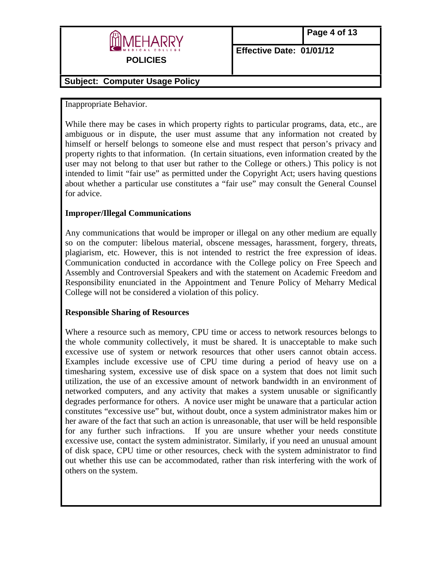

# **Subject: Computer Usage Policy**

### Inappropriate Behavior.

While there may be cases in which property rights to particular programs, data, etc., are ambiguous or in dispute, the user must assume that any information not created by himself or herself belongs to someone else and must respect that person's privacy and property rights to that information. (In certain situations, even information created by the user may not belong to that user but rather to the College or others.) This policy is not intended to limit "fair use" as permitted under the Copyright Act; users having questions about whether a particular use constitutes a "fair use" may consult the General Counsel for advice.

### **Improper/Illegal Communications**

Any communications that would be improper or illegal on any other medium are equally so on the computer: libelous material, obscene messages, harassment, forgery, threats, plagiarism, etc. However, this is not intended to restrict the free expression of ideas. Communication conducted in accordance with the College policy on Free Speech and Assembly and Controversial Speakers and with the statement on Academic Freedom and Responsibility enunciated in the Appointment and Tenure Policy of Meharry Medical College will not be considered a violation of this policy.

#### **Responsible Sharing of Resources**

Where a resource such as memory, CPU time or access to network resources belongs to the whole community collectively, it must be shared. It is unacceptable to make such excessive use of system or network resources that other users cannot obtain access. Examples include excessive use of CPU time during a period of heavy use on a timesharing system, excessive use of disk space on a system that does not limit such utilization, the use of an excessive amount of network bandwidth in an environment of networked computers, and any activity that makes a system unusable or significantly degrades performance for others. A novice user might be unaware that a particular action constitutes "excessive use" but, without doubt, once a system administrator makes him or her aware of the fact that such an action is unreasonable, that user will be held responsible for any further such infractions. If you are unsure whether your needs constitute excessive use, contact the system administrator. Similarly, if you need an unusual amount of disk space, CPU time or other resources, check with the system administrator to find out whether this use can be accommodated, rather than risk interfering with the work of others on the system.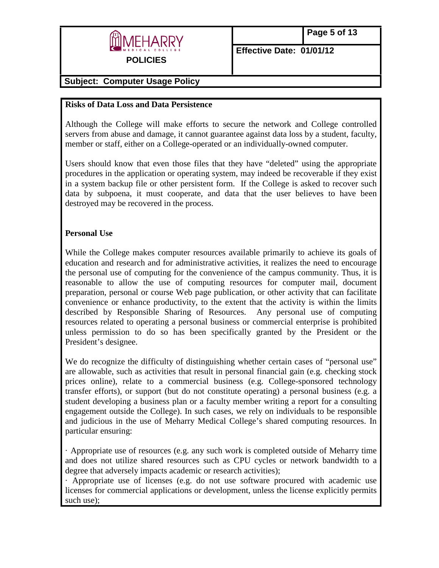

## **Subject: Computer Usage Policy**

#### **Risks of Data Loss and Data Persistence**

Although the College will make efforts to secure the network and College controlled servers from abuse and damage, it cannot guarantee against data loss by a student, faculty, member or staff, either on a College-operated or an individually-owned computer.

Users should know that even those files that they have "deleted" using the appropriate procedures in the application or operating system, may indeed be recoverable if they exist in a system backup file or other persistent form. If the College is asked to recover such data by subpoena, it must cooperate, and data that the user believes to have been destroyed may be recovered in the process.

#### **Personal Use**

While the College makes computer resources available primarily to achieve its goals of education and research and for administrative activities, it realizes the need to encourage the personal use of computing for the convenience of the campus community. Thus, it is reasonable to allow the use of computing resources for computer mail, document preparation, personal or course Web page publication, or other activity that can facilitate convenience or enhance productivity, to the extent that the activity is within the limits described by Responsible Sharing of Resources. Any personal use of computing resources related to operating a personal business or commercial enterprise is prohibited unless permission to do so has been specifically granted by the President or the President's designee.

We do recognize the difficulty of distinguishing whether certain cases of "personal use" are allowable, such as activities that result in personal financial gain (e.g. checking stock prices online), relate to a commercial business (e.g. College-sponsored technology transfer efforts), or support (but do not constitute operating) a personal business (e.g. a student developing a business plan or a faculty member writing a report for a consulting engagement outside the College). In such cases, we rely on individuals to be responsible and judicious in the use of Meharry Medical College's shared computing resources. In particular ensuring:

· Appropriate use of resources (e.g. any such work is completed outside of Meharry time and does not utilize shared resources such as CPU cycles or network bandwidth to a degree that adversely impacts academic or research activities);

· Appropriate use of licenses (e.g. do not use software procured with academic use licenses for commercial applications or development, unless the license explicitly permits such use);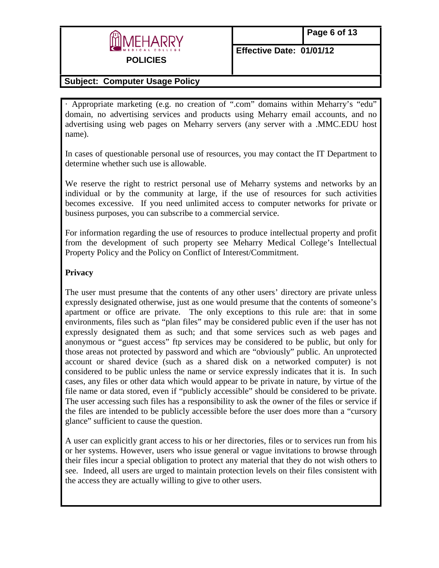

### **Subject: Computer Usage Policy**

· Appropriate marketing (e.g. no creation of ".com" domains within Meharry's "edu" domain, no advertising services and products using Meharry email accounts, and no advertising using web pages on Meharry servers (any server with a .MMC.EDU host name).

In cases of questionable personal use of resources, you may contact the IT Department to determine whether such use is allowable.

We reserve the right to restrict personal use of Meharry systems and networks by an individual or by the community at large, if the use of resources for such activities becomes excessive. If you need unlimited access to computer networks for private or business purposes, you can subscribe to a commercial service.

For information regarding the use of resources to produce intellectual property and profit from the development of such property see Meharry Medical College's Intellectual Property Policy and the Policy on Conflict of Interest/Commitment.

### **Privacy**

The user must presume that the contents of any other users' directory are private unless expressly designated otherwise, just as one would presume that the contents of someone's apartment or office are private. The only exceptions to this rule are: that in some environments, files such as "plan files" may be considered public even if the user has not expressly designated them as such; and that some services such as web pages and anonymous or "guest access" ftp services may be considered to be public, but only for those areas not protected by password and which are "obviously" public. An unprotected account or shared device (such as a shared disk on a networked computer) is not considered to be public unless the name or service expressly indicates that it is. In such cases, any files or other data which would appear to be private in nature, by virtue of the file name or data stored, even if "publicly accessible" should be considered to be private. The user accessing such files has a responsibility to ask the owner of the files or service if the files are intended to be publicly accessible before the user does more than a "cursory glance" sufficient to cause the question.

A user can explicitly grant access to his or her directories, files or to services run from his or her systems. However, users who issue general or vague invitations to browse through their files incur a special obligation to protect any material that they do not wish others to see. Indeed, all users are urged to maintain protection levels on their files consistent with the access they are actually willing to give to other users.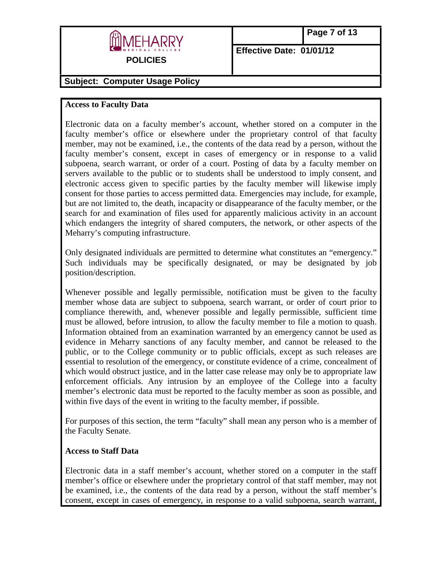

# **Subject: Computer Usage Policy**

### **Access to Faculty Data**

Electronic data on a faculty member's account, whether stored on a computer in the faculty member's office or elsewhere under the proprietary control of that faculty member, may not be examined, i.e., the contents of the data read by a person, without the faculty member's consent, except in cases of emergency or in response to a valid subpoena, search warrant, or order of a court. Posting of data by a faculty member on servers available to the public or to students shall be understood to imply consent, and electronic access given to specific parties by the faculty member will likewise imply consent for those parties to access permitted data. Emergencies may include, for example, but are not limited to, the death, incapacity or disappearance of the faculty member, or the search for and examination of files used for apparently malicious activity in an account which endangers the integrity of shared computers, the network, or other aspects of the Meharry's computing infrastructure.

Only designated individuals are permitted to determine what constitutes an "emergency." Such individuals may be specifically designated, or may be designated by job position/description.

Whenever possible and legally permissible, notification must be given to the faculty member whose data are subject to subpoena, search warrant, or order of court prior to compliance therewith, and, whenever possible and legally permissible, sufficient time must be allowed, before intrusion, to allow the faculty member to file a motion to quash. Information obtained from an examination warranted by an emergency cannot be used as evidence in Meharry sanctions of any faculty member, and cannot be released to the public, or to the College community or to public officials, except as such releases are essential to resolution of the emergency, or constitute evidence of a crime, concealment of which would obstruct justice, and in the latter case release may only be to appropriate law enforcement officials. Any intrusion by an employee of the College into a faculty member's electronic data must be reported to the faculty member as soon as possible, and within five days of the event in writing to the faculty member, if possible.

For purposes of this section, the term "faculty" shall mean any person who is a member of the Faculty Senate.

#### **Access to Staff Data**

Electronic data in a staff member's account, whether stored on a computer in the staff member's office or elsewhere under the proprietary control of that staff member, may not be examined, i.e., the contents of the data read by a person, without the staff member's consent, except in cases of emergency, in response to a valid subpoena, search warrant,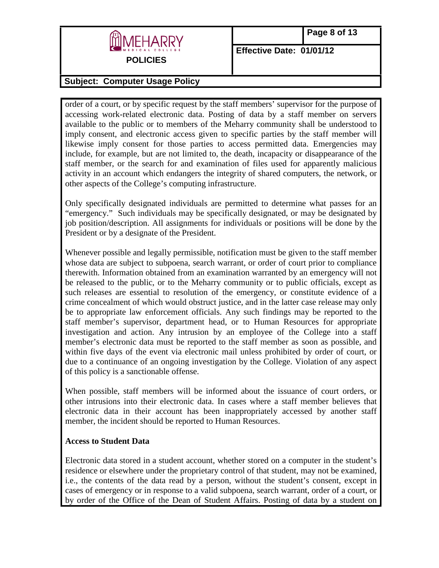

# **Subject: Computer Usage Policy**

order of a court, or by specific request by the staff members' supervisor for the purpose of accessing work-related electronic data. Posting of data by a staff member on servers available to the public or to members of the Meharry community shall be understood to imply consent, and electronic access given to specific parties by the staff member will likewise imply consent for those parties to access permitted data. Emergencies may include, for example, but are not limited to, the death, incapacity or disappearance of the staff member, or the search for and examination of files used for apparently malicious activity in an account which endangers the integrity of shared computers, the network, or other aspects of the College's computing infrastructure.

Only specifically designated individuals are permitted to determine what passes for an "emergency." Such individuals may be specifically designated, or may be designated by job position/description. All assignments for individuals or positions will be done by the President or by a designate of the President.

Whenever possible and legally permissible, notification must be given to the staff member whose data are subject to subpoena, search warrant, or order of court prior to compliance therewith. Information obtained from an examination warranted by an emergency will not be released to the public, or to the Meharry community or to public officials, except as such releases are essential to resolution of the emergency, or constitute evidence of a crime concealment of which would obstruct justice, and in the latter case release may only be to appropriate law enforcement officials. Any such findings may be reported to the staff member's supervisor, department head, or to Human Resources for appropriate investigation and action. Any intrusion by an employee of the College into a staff member's electronic data must be reported to the staff member as soon as possible, and within five days of the event via electronic mail unless prohibited by order of court, or due to a continuance of an ongoing investigation by the College. Violation of any aspect of this policy is a sanctionable offense.

When possible, staff members will be informed about the issuance of court orders, or other intrusions into their electronic data. In cases where a staff member believes that electronic data in their account has been inappropriately accessed by another staff member, the incident should be reported to Human Resources.

#### **Access to Student Data**

Electronic data stored in a student account, whether stored on a computer in the student's residence or elsewhere under the proprietary control of that student, may not be examined, i.e., the contents of the data read by a person, without the student's consent, except in cases of emergency or in response to a valid subpoena, search warrant, order of a court, or by order of the Office of the Dean of Student Affairs. Posting of data by a student on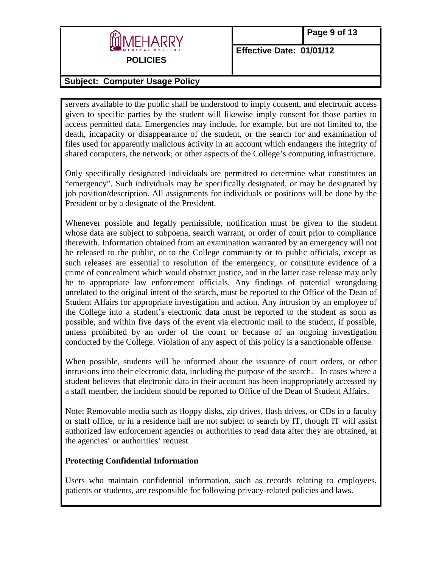

# **Subject: Computer Usage Policy**

servers available to the public shall be understood to imply consent, and electronic access given to specific parties by the student will likewise imply consent for those parties to access permitted data. Emergencies may include, for example, but are not limited to, the death, incapacity or disappearance of the student, or the search for and examination of files used for apparently malicious activity in an account which endangers the integrity of shared computers, the network, or other aspects of the College's computing infrastructure.

Only specifically designated individuals are permitted to determine what constitutes an "emergency". Such individuals may be specifically designated, or may be designated by job position/description. All assignments for individuals or positions will be done by the President or by a designate of the President.

Whenever possible and legally permissible, notification must be given to the student whose data are subject to subpoena, search warrant, or order of court prior to compliance therewith. Information obtained from an examination warranted by an emergency will not be released to the public, or to the College community or to public officials, except as such releases are essential to resolution of the emergency, or constitute evidence of a crime of concealment which would obstruct justice, and in the latter case release may only be to appropriate law enforcement officials. Any findings of potential wrongdoing unrelated to the original intent of the search, must be reported to the Office of the Dean of Student Affairs for appropriate investigation and action. Any intrusion by an employee of the College into a student's electronic data must be reported to the student as soon as possible, and within five days of the event via electronic mail to the student, if possible, unless prohibited by an order of the court or because of an ongoing investigation conducted by the College. Violation of any aspect of this policy is a sanctionable offense.

When possible, students will be informed about the issuance of court orders, or other intrusions into their electronic data, including the purpose of the search. In cases where a student believes that electronic data in their account has been inappropriately accessed by a staff member, the incident should be reported to Office of the Dean of Student Affairs.

Note: Removable media such as floppy disks, zip drives, flash drives, or CDs in a faculty or staff office, or in a residence hall are not subject to search by IT, though IT will assist authorized law enforcement agencies or authorities to read data after they are obtained, at the agencies' or authorities' request.

### **Protecting Confidential Information**

Users who maintain confidential information, such as records relating to employees, patients or students, are responsible for following privacy-related policies and laws.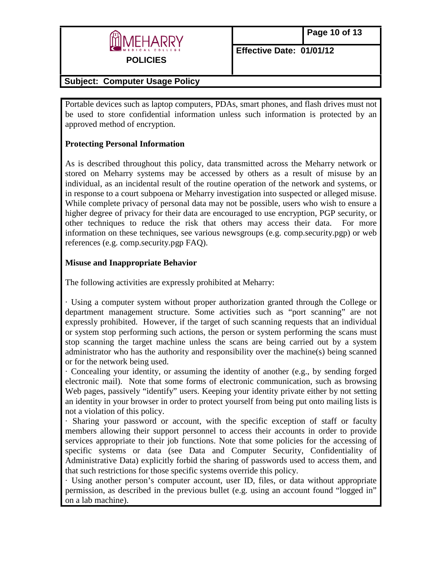

# **Subject: Computer Usage Policy**

Portable devices such as laptop computers, PDAs, smart phones, and flash drives must not be used to store confidential information unless such information is protected by an approved method of encryption.

# **Protecting Personal Information**

As is described throughout this policy, data transmitted across the Meharry network or stored on Meharry systems may be accessed by others as a result of misuse by an individual, as an incidental result of the routine operation of the network and systems, or in response to a court subpoena or Meharry investigation into suspected or alleged misuse. While complete privacy of personal data may not be possible, users who wish to ensure a higher degree of privacy for their data are encouraged to use encryption, PGP security, or other techniques to reduce the risk that others may access their data. For more information on these techniques, see various newsgroups (e.g. comp.security.pgp) or web references (e.g. comp.security.pgp FAQ).

# **Misuse and Inappropriate Behavior**

The following activities are expressly prohibited at Meharry:

· Using a computer system without proper authorization granted through the College or department management structure. Some activities such as "port scanning" are not expressly prohibited. However, if the target of such scanning requests that an individual or system stop performing such actions, the person or system performing the scans must stop scanning the target machine unless the scans are being carried out by a system administrator who has the authority and responsibility over the machine(s) being scanned or for the network being used.

· Concealing your identity, or assuming the identity of another (e.g., by sending forged electronic mail). Note that some forms of electronic communication, such as browsing Web pages, passively "identify" users. Keeping your identity private either by not setting an identity in your browser in order to protect yourself from being put onto mailing lists is not a violation of this policy.

· Sharing your password or account, with the specific exception of staff or faculty members allowing their support personnel to access their accounts in order to provide services appropriate to their job functions. Note that some policies for the accessing of specific systems or data (see Data and Computer Security, Confidentiality of Administrative Data) explicitly forbid the sharing of passwords used to access them, and that such restrictions for those specific systems override this policy.

· Using another person's computer account, user ID, files, or data without appropriate permission, as described in the previous bullet (e.g. using an account found "logged in" on a lab machine).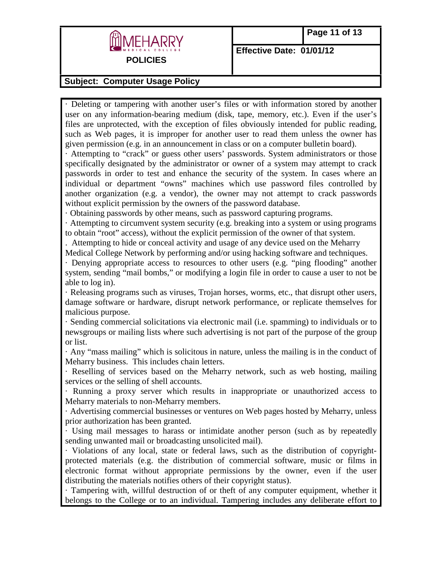

### **Subject: Computer Usage Policy**

· Deleting or tampering with another user's files or with information stored by another user on any information-bearing medium (disk, tape, memory, etc.). Even if the user's files are unprotected, with the exception of files obviously intended for public reading, such as Web pages, it is improper for another user to read them unless the owner has given permission (e.g. in an announcement in class or on a computer bulletin board).

· Attempting to "crack" or guess other users' passwords. System administrators or those specifically designated by the administrator or owner of a system may attempt to crack passwords in order to test and enhance the security of the system. In cases where an individual or department "owns" machines which use password files controlled by another organization (e.g. a vendor), the owner may not attempt to crack passwords without explicit permission by the owners of the password database.

· Obtaining passwords by other means, such as password capturing programs.

· Attempting to circumvent system security (e.g. breaking into a system or using programs to obtain "root" access), without the explicit permission of the owner of that system.

. Attempting to hide or conceal activity and usage of any device used on the Meharry Medical College Network by performing and/or using hacking software and techniques.

· Denying appropriate access to resources to other users (e.g. "ping flooding" another system, sending "mail bombs," or modifying a login file in order to cause a user to not be able to log in).

· Releasing programs such as viruses, Trojan horses, worms, etc., that disrupt other users, damage software or hardware, disrupt network performance, or replicate themselves for malicious purpose.

· Sending commercial solicitations via electronic mail (i.e. spamming) to individuals or to newsgroups or mailing lists where such advertising is not part of the purpose of the group or list.

· Any "mass mailing" which is solicitous in nature, unless the mailing is in the conduct of Meharry business. This includes chain letters.

· Reselling of services based on the Meharry network, such as web hosting, mailing services or the selling of shell accounts.

· Running a proxy server which results in inappropriate or unauthorized access to Meharry materials to non-Meharry members.

· Advertising commercial businesses or ventures on Web pages hosted by Meharry, unless prior authorization has been granted.

· Using mail messages to harass or intimidate another person (such as by repeatedly sending unwanted mail or broadcasting unsolicited mail).

· Violations of any local, state or federal laws, such as the distribution of copyrightprotected materials (e.g. the distribution of commercial software, music or films in electronic format without appropriate permissions by the owner, even if the user distributing the materials notifies others of their copyright status).

· Tampering with, willful destruction of or theft of any computer equipment, whether it belongs to the College or to an individual. Tampering includes any deliberate effort to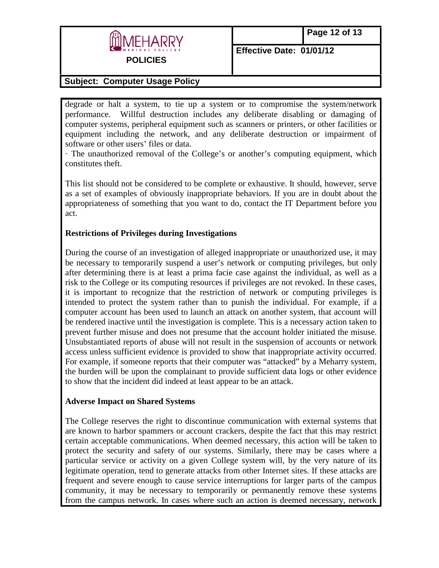

**Subject: Computer Usage Policy** 

degrade or halt a system, to tie up a system or to compromise the system/network performance. Willful destruction includes any deliberate disabling or damaging of computer systems, peripheral equipment such as scanners or printers, or other facilities or equipment including the network, and any deliberate destruction or impairment of software or other users' files or data.

· The unauthorized removal of the College's or another's computing equipment, which constitutes theft.

This list should not be considered to be complete or exhaustive. It should, however, serve as a set of examples of obviously inappropriate behaviors. If you are in doubt about the appropriateness of something that you want to do, contact the IT Department before you act.

### **Restrictions of Privileges during Investigations**

During the course of an investigation of alleged inappropriate or unauthorized use, it may be necessary to temporarily suspend a user's network or computing privileges, but only after determining there is at least a prima facie case against the individual, as well as a risk to the College or its computing resources if privileges are not revoked. In these cases, it is important to recognize that the restriction of network or computing privileges is intended to protect the system rather than to punish the individual. For example, if a computer account has been used to launch an attack on another system, that account will be rendered inactive until the investigation is complete. This is a necessary action taken to prevent further misuse and does not presume that the account holder initiated the misuse. Unsubstantiated reports of abuse will not result in the suspension of accounts or network access unless sufficient evidence is provided to show that inappropriate activity occurred. For example, if someone reports that their computer was "attacked" by a Meharry system, the burden will be upon the complainant to provide sufficient data logs or other evidence to show that the incident did indeed at least appear to be an attack.

### **Adverse Impact on Shared Systems**

The College reserves the right to discontinue communication with external systems that are known to harbor spammers or account crackers, despite the fact that this may restrict certain acceptable communications. When deemed necessary, this action will be taken to protect the security and safety of our systems. Similarly, there may be cases where a particular service or activity on a given College system will, by the very nature of its legitimate operation, tend to generate attacks from other Internet sites. If these attacks are frequent and severe enough to cause service interruptions for larger parts of the campus community, it may be necessary to temporarily or permanently remove these systems from the campus network. In cases where such an action is deemed necessary, network